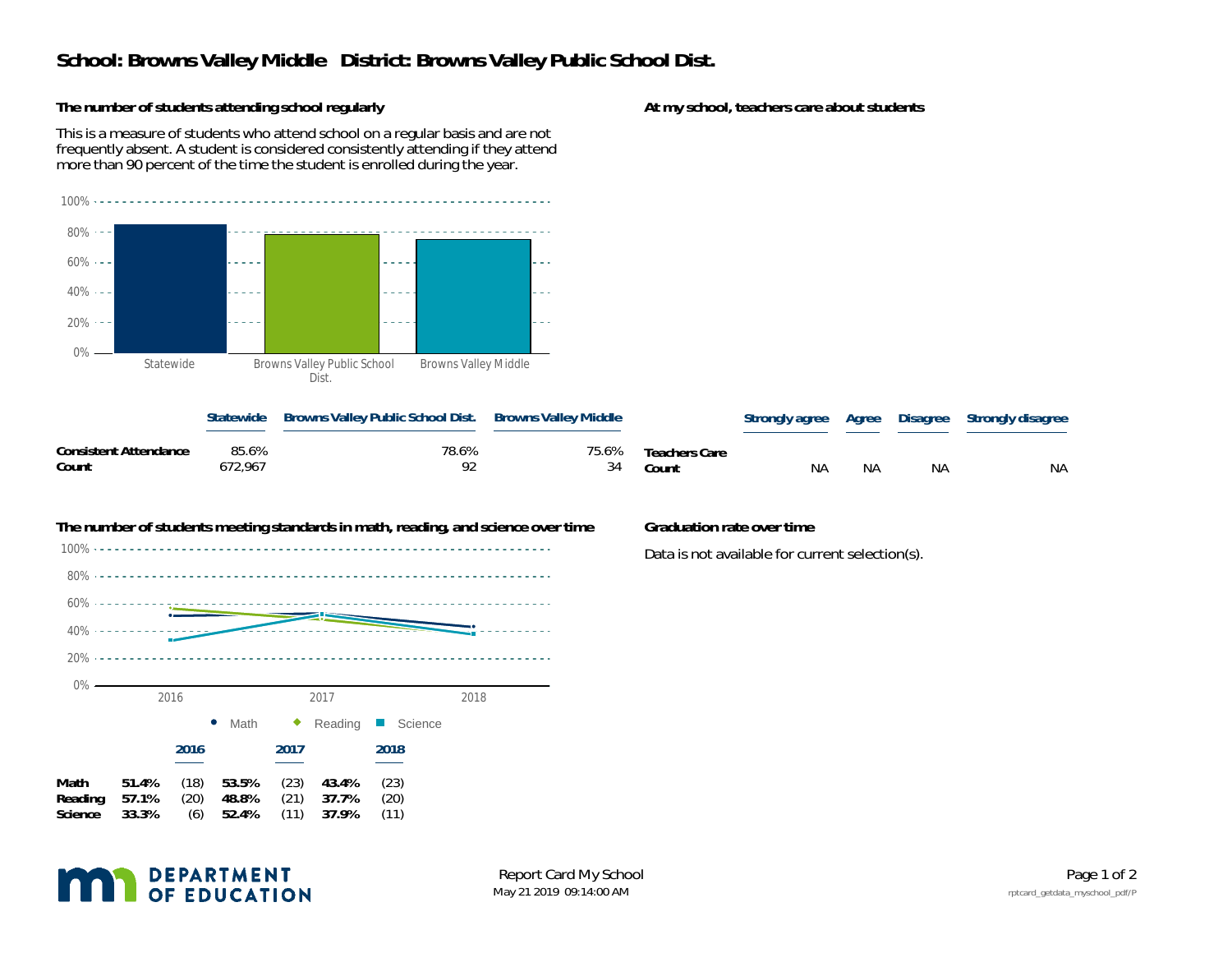## **School: Browns Valley Middle District: Browns Valley Public School Dist.**

**The number of students attending school regularly**

This is a measure of students who attend school on a regular basis and are not frequently absent. A student is considered consistently attending if they attend more than 90 percent of the time the student is enrolled during the year.



|                                |                  | Statewide Browns Valley Public School Dist. Browns Valley Middle |    |                              |           |    |    | Strongly agree Agree Disagree Strongly disagree |
|--------------------------------|------------------|------------------------------------------------------------------|----|------------------------------|-----------|----|----|-------------------------------------------------|
| Consistent Attendance<br>Count | 85.6%<br>672.967 | 78.6%<br>Q?                                                      | 34 | 75.6% Teachers Care<br>Count | <b>NA</b> | NА | ΝA | <b>NA</b>                                       |



Data is not available for current selection(s).